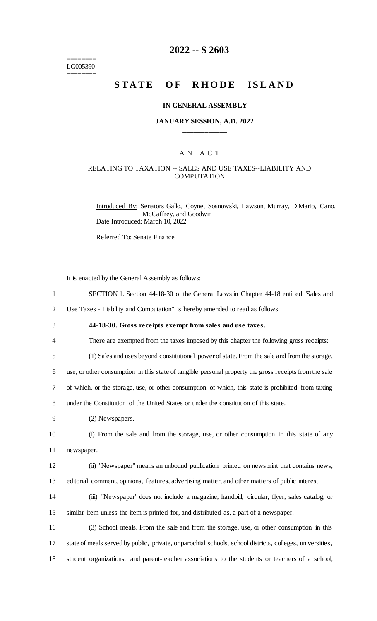======== LC005390 ========

## **2022 -- S 2603**

# **STATE OF RHODE ISLAND**

#### **IN GENERAL ASSEMBLY**

#### **JANUARY SESSION, A.D. 2022 \_\_\_\_\_\_\_\_\_\_\_\_**

## A N A C T

#### RELATING TO TAXATION -- SALES AND USE TAXES--LIABILITY AND **COMPUTATION**

Introduced By: Senators Gallo, Coyne, Sosnowski, Lawson, Murray, DiMario, Cano, McCaffrey, and Goodwin Date Introduced: March 10, 2022

Referred To: Senate Finance

It is enacted by the General Assembly as follows:

- 1 SECTION 1. Section 44-18-30 of the General Laws in Chapter 44-18 entitled "Sales and
- 2 Use Taxes Liability and Computation" is hereby amended to read as follows:
- 3 **44-18-30. Gross receipts exempt from sales and use taxes.**
- 4 There are exempted from the taxes imposed by this chapter the following gross receipts:
- 5 (1) Sales and uses beyond constitutional power of state. From the sale and from the storage,

6 use, or other consumption in this state of tangible personal property the gross receipts from the sale

7 of which, or the storage, use, or other consumption of which, this state is prohibited from taxing

8 under the Constitution of the United States or under the constitution of this state.

9 (2) Newspapers.

10 (i) From the sale and from the storage, use, or other consumption in this state of any 11 newspaper.

- 12 (ii) "Newspaper" means an unbound publication printed on newsprint that contains news, 13 editorial comment, opinions, features, advertising matter, and other matters of public interest.
- 14 (iii) "Newspaper" does not include a magazine, handbill, circular, flyer, sales catalog, or 15 similar item unless the item is printed for, and distributed as, a part of a newspaper.
- 16 (3) School meals. From the sale and from the storage, use, or other consumption in this 17 state of meals served by public, private, or parochial schools, school districts, colleges, universities, 18 student organizations, and parent-teacher associations to the students or teachers of a school,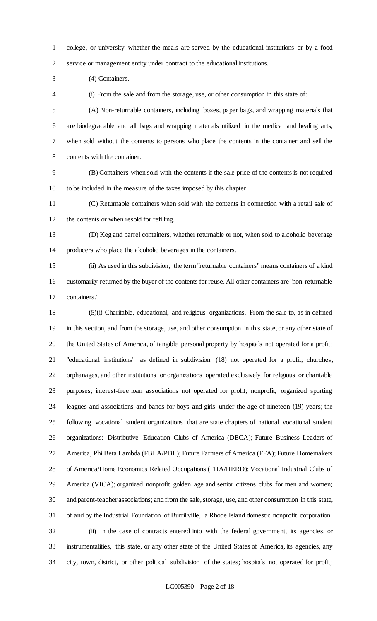college, or university whether the meals are served by the educational institutions or by a food service or management entity under contract to the educational institutions.

(4) Containers.

(i) From the sale and from the storage, use, or other consumption in this state of:

 (A) Non-returnable containers, including boxes, paper bags, and wrapping materials that are biodegradable and all bags and wrapping materials utilized in the medical and healing arts, when sold without the contents to persons who place the contents in the container and sell the contents with the container.

 (B) Containers when sold with the contents if the sale price of the contents is not required to be included in the measure of the taxes imposed by this chapter.

 (C) Returnable containers when sold with the contents in connection with a retail sale of the contents or when resold for refilling.

 (D) Keg and barrel containers, whether returnable or not, when sold to alcoholic beverage producers who place the alcoholic beverages in the containers.

 (ii) As used in this subdivision, the term "returnable containers" means containers of a kind customarily returned by the buyer of the contents for reuse. All other containers are "non-returnable containers."

 (5)(i) Charitable, educational, and religious organizations. From the sale to, as in defined in this section, and from the storage, use, and other consumption in this state, or any other state of the United States of America, of tangible personal property by hospitals not operated for a profit; "educational institutions" as defined in subdivision (18) not operated for a profit; churches, orphanages, and other institutions or organizations operated exclusively for religious or charitable purposes; interest-free loan associations not operated for profit; nonprofit, organized sporting leagues and associations and bands for boys and girls under the age of nineteen (19) years; the following vocational student organizations that are state chapters of national vocational student organizations: Distributive Education Clubs of America (DECA); Future Business Leaders of America, Phi Beta Lambda (FBLA/PBL); Future Farmers of America (FFA); Future Homemakers of America/Home Economics Related Occupations (FHA/HERD); Vocational Industrial Clubs of America (VICA); organized nonprofit golden age and senior citizens clubs for men and women; and parent-teacher associations; and from the sale, storage, use, and other consumption in this state, of and by the Industrial Foundation of Burrillville, a Rhode Island domestic nonprofit corporation. (ii) In the case of contracts entered into with the federal government, its agencies, or instrumentalities, this state, or any other state of the United States of America, its agencies, any city, town, district, or other political subdivision of the states; hospitals not operated for profit;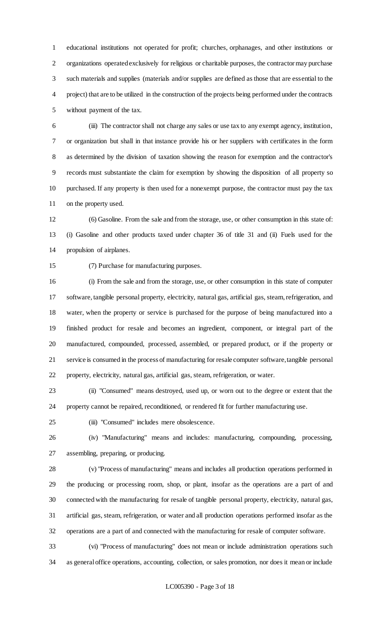educational institutions not operated for profit; churches, orphanages, and other institutions or organizations operated exclusively for religious or charitable purposes, the contractor may purchase such materials and supplies (materials and/or supplies are defined as those that are essential to the project) that are to be utilized in the construction of the projects being performed under the contracts without payment of the tax.

 (iii) The contractor shall not charge any sales or use tax to any exempt agency, institution, or organization but shall in that instance provide his or her suppliers with certificates in the form as determined by the division of taxation showing the reason for exemption and the contractor's records must substantiate the claim for exemption by showing the disposition of all property so purchased. If any property is then used for a nonexempt purpose, the contractor must pay the tax on the property used.

 (6) Gasoline. From the sale and from the storage, use, or other consumption in this state of: (i) Gasoline and other products taxed under chapter 36 of title 31 and (ii) Fuels used for the propulsion of airplanes.

(7) Purchase for manufacturing purposes.

 (i) From the sale and from the storage, use, or other consumption in this state of computer software, tangible personal property, electricity, natural gas, artificial gas, steam, refrigeration, and water, when the property or service is purchased for the purpose of being manufactured into a finished product for resale and becomes an ingredient, component, or integral part of the manufactured, compounded, processed, assembled, or prepared product, or if the property or service is consumed in the process of manufacturing for resale computer software, tangible personal property, electricity, natural gas, artificial gas, steam, refrigeration, or water.

 (ii) "Consumed" means destroyed, used up, or worn out to the degree or extent that the property cannot be repaired, reconditioned, or rendered fit for further manufacturing use.

(iii) "Consumed" includes mere obsolescence.

 (iv) "Manufacturing" means and includes: manufacturing, compounding, processing, assembling, preparing, or producing.

 (v) "Process of manufacturing" means and includes all production operations performed in the producing or processing room, shop, or plant, insofar as the operations are a part of and connected with the manufacturing for resale of tangible personal property, electricity, natural gas, artificial gas, steam, refrigeration, or water and all production operations performed insofar as the operations are a part of and connected with the manufacturing for resale of computer software.

 (vi) "Process of manufacturing" does not mean or include administration operations such as general office operations, accounting, collection, or sales promotion, nor does it mean or include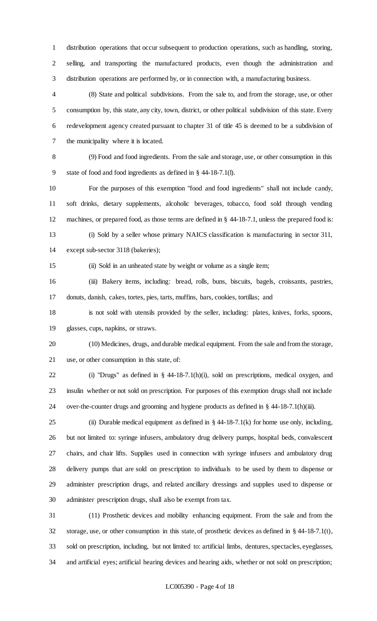distribution operations that occur subsequent to production operations, such as handling, storing, selling, and transporting the manufactured products, even though the administration and distribution operations are performed by, or in connection with, a manufacturing business.

 (8) State and political subdivisions. From the sale to, and from the storage, use, or other consumption by, this state, any city, town, district, or other political subdivision of this state. Every redevelopment agency created pursuant to chapter 31 of title 45 is deemed to be a subdivision of the municipality where it is located.

 (9) Food and food ingredients. From the sale and storage, use, or other consumption in this state of food and food ingredients as defined in § 44-18-7.1(l).

 For the purposes of this exemption "food and food ingredients" shall not include candy, soft drinks, dietary supplements, alcoholic beverages, tobacco, food sold through vending machines, or prepared food, as those terms are defined in § 44-18-7.1, unless the prepared food is: (i) Sold by a seller whose primary NAICS classification is manufacturing in sector 311,

except sub-sector 3118 (bakeries);

(ii) Sold in an unheated state by weight or volume as a single item;

 (iii) Bakery items, including: bread, rolls, buns, biscuits, bagels, croissants, pastries, donuts, danish, cakes, tortes, pies, tarts, muffins, bars, cookies, tortillas; and

 is not sold with utensils provided by the seller, including: plates, knives, forks, spoons, glasses, cups, napkins, or straws.

 (10) Medicines, drugs, and durable medical equipment. From the sale and from the storage, use, or other consumption in this state, of:

 (i) "Drugs" as defined in § 44-18-7.1(h)(i), sold on prescriptions, medical oxygen, and insulin whether or not sold on prescription. For purposes of this exemption drugs shall not include over-the-counter drugs and grooming and hygiene products as defined in § 44-18-7.1(h)(iii).

25 (ii) Durable medical equipment as defined in  $\S$  44-18-7.1(k) for home use only, including, but not limited to: syringe infusers, ambulatory drug delivery pumps, hospital beds, convalescent chairs, and chair lifts. Supplies used in connection with syringe infusers and ambulatory drug delivery pumps that are sold on prescription to individuals to be used by them to dispense or administer prescription drugs, and related ancillary dressings and supplies used to dispense or administer prescription drugs, shall also be exempt from tax.

 (11) Prosthetic devices and mobility enhancing equipment. From the sale and from the storage, use, or other consumption in this state, of prosthetic devices as defined in § 44-18-7.1(t), sold on prescription, including, but not limited to: artificial limbs, dentures, spectacles, eyeglasses, and artificial eyes; artificial hearing devices and hearing aids, whether or not sold on prescription;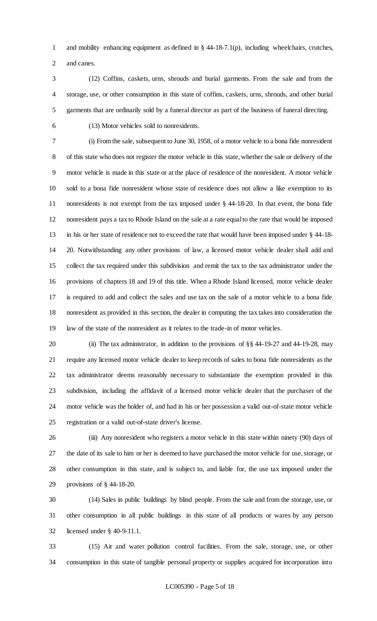and mobility enhancing equipment as defined in § 44-18-7.1(p), including wheelchairs, crutches, and canes.

- (12) Coffins, caskets, urns, shrouds and burial garments. From the sale and from the storage, use, or other consumption in this state of coffins, caskets, urns, shrouds, and other burial garments that are ordinarily sold by a funeral director as part of the business of funeral directing.
- 

(13) Motor vehicles sold to nonresidents.

 (i) From the sale, subsequent to June 30, 1958, of a motor vehicle to a bona fide nonresident of this state who does not register the motor vehicle in this state, whether the sale or delivery of the motor vehicle is made in this state or at the place of residence of the nonresident. A motor vehicle sold to a bona fide nonresident whose state of residence does not allow a like exemption to its nonresidents is not exempt from the tax imposed under § 44-18-20. In that event, the bona fide nonresident pays a tax to Rhode Island on the sale at a rate equal to the rate that would be imposed in his or her state of residence not to exceed the rate that would have been imposed under § 44-18- 20. Notwithstanding any other provisions of law, a licensed motor vehicle dealer shall add and collect the tax required under this subdivision and remit the tax to the tax administrator under the provisions of chapters 18 and 19 of this title. When a Rhode Island licensed, motor vehicle dealer is required to add and collect the sales and use tax on the sale of a motor vehicle to a bona fide nonresident as provided in this section, the dealer in computing the tax takes into consideration the law of the state of the nonresident as it relates to the trade-in of motor vehicles.

 (ii) The tax administrator, in addition to the provisions of §§ 44-19-27 and 44-19-28, may require any licensed motor vehicle dealer to keep records of sales to bona fide nonresidents as the tax administrator deems reasonably necessary to substantiate the exemption provided in this subdivision, including the affidavit of a licensed motor vehicle dealer that the purchaser of the motor vehicle was the holder of, and had in his or her possession a valid out-of-state motor vehicle registration or a valid out-of-state driver's license.

 (iii) Any nonresident who registers a motor vehicle in this state within ninety (90) days of the date of its sale to him or her is deemed to have purchased the motor vehicle for use, storage, or other consumption in this state, and is subject to, and liable for, the use tax imposed under the provisions of § 44-18-20.

 (14) Sales in public buildings by blind people. From the sale and from the storage, use, or other consumption in all public buildings in this state of all products or wares by any person licensed under § 40-9-11.1.

 (15) Air and water pollution control facilities. From the sale, storage, use, or other consumption in this state of tangible personal property or supplies acquired for incorporation into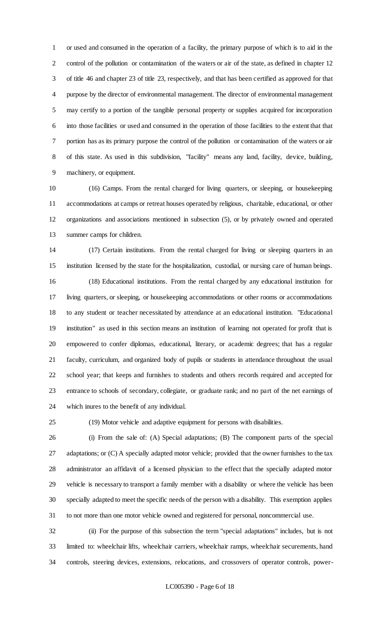or used and consumed in the operation of a facility, the primary purpose of which is to aid in the control of the pollution or contamination of the waters or air of the state, as defined in chapter 12 of title 46 and chapter 23 of title 23, respectively, and that has been certified as approved for that purpose by the director of environmental management. The director of environmental management may certify to a portion of the tangible personal property or supplies acquired for incorporation into those facilities or used and consumed in the operation of those facilities to the extent that that portion has as its primary purpose the control of the pollution or contamination of the waters or air of this state. As used in this subdivision, "facility" means any land, facility, device, building, machinery, or equipment.

 (16) Camps. From the rental charged for living quarters, or sleeping, or housekeeping accommodations at camps or retreat houses operated by religious, charitable, educational, or other organizations and associations mentioned in subsection (5), or by privately owned and operated summer camps for children.

 (17) Certain institutions. From the rental charged for living or sleeping quarters in an institution licensed by the state for the hospitalization, custodial, or nursing care of human beings. (18) Educational institutions. From the rental charged by any educational institution for living quarters, or sleeping, or housekeeping accommodations or other rooms or accommodations to any student or teacher necessitated by attendance at an educational institution. "Educational institution" as used in this section means an institution of learning not operated for profit that is empowered to confer diplomas, educational, literary, or academic degrees; that has a regular faculty, curriculum, and organized body of pupils or students in attendance throughout the usual school year; that keeps and furnishes to students and others records required and accepted for entrance to schools of secondary, collegiate, or graduate rank; and no part of the net earnings of which inures to the benefit of any individual.

(19) Motor vehicle and adaptive equipment for persons with disabilities.

 (i) From the sale of: (A) Special adaptations; (B) The component parts of the special adaptations; or (C) A specially adapted motor vehicle; provided that the owner furnishes to the tax administrator an affidavit of a licensed physician to the effect that the specially adapted motor vehicle is necessary to transport a family member with a disability or where the vehicle has been specially adapted to meet the specific needs of the person with a disability. This exemption applies to not more than one motor vehicle owned and registered for personal, noncommercial use.

 (ii) For the purpose of this subsection the term "special adaptations" includes, but is not limited to: wheelchair lifts, wheelchair carriers, wheelchair ramps, wheelchair securements, hand controls, steering devices, extensions, relocations, and crossovers of operator controls, power-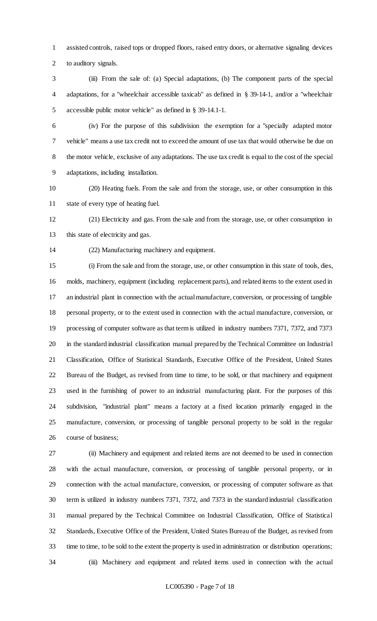assisted controls, raised tops or dropped floors, raised entry doors, or alternative signaling devices to auditory signals.

 (iii) From the sale of: (a) Special adaptations, (b) The component parts of the special adaptations, for a "wheelchair accessible taxicab" as defined in § 39-14-1, and/or a "wheelchair accessible public motor vehicle" as defined in § 39-14.1-1.

 (iv) For the purpose of this subdivision the exemption for a "specially adapted motor vehicle" means a use tax credit not to exceed the amount of use tax that would otherwise be due on the motor vehicle, exclusive of any adaptations. The use tax credit is equal to the cost of the special adaptations, including installation.

 (20) Heating fuels. From the sale and from the storage, use, or other consumption in this state of every type of heating fuel.

 (21) Electricity and gas. From the sale and from the storage, use, or other consumption in 13 this state of electricity and gas.

(22) Manufacturing machinery and equipment.

 (i) From the sale and from the storage, use, or other consumption in this state of tools, dies, molds, machinery, equipment (including replacement parts), and related items to the extent used in an industrial plant in connection with the actual manufacture, conversion, or processing of tangible personal property, or to the extent used in connection with the actual manufacture, conversion, or processing of computer software as that term is utilized in industry numbers 7371, 7372, and 7373 in the standard industrial classification manual prepared by the Technical Committee on Industrial Classification, Office of Statistical Standards, Executive Office of the President, United States Bureau of the Budget, as revised from time to time, to be sold, or that machinery and equipment used in the furnishing of power to an industrial manufacturing plant. For the purposes of this subdivision, "industrial plant" means a factory at a fixed location primarily engaged in the manufacture, conversion, or processing of tangible personal property to be sold in the regular course of business;

 (ii) Machinery and equipment and related items are not deemed to be used in connection with the actual manufacture, conversion, or processing of tangible personal property, or in connection with the actual manufacture, conversion, or processing of computer software as that term is utilized in industry numbers 7371, 7372, and 7373 in the standard industrial classification manual prepared by the Technical Committee on Industrial Classification, Office of Statistical Standards, Executive Office of the President, United States Bureau of the Budget, as revised from time to time, to be sold to the extent the property is used in administration or distribution operations; (iii) Machinery and equipment and related items used in connection with the actual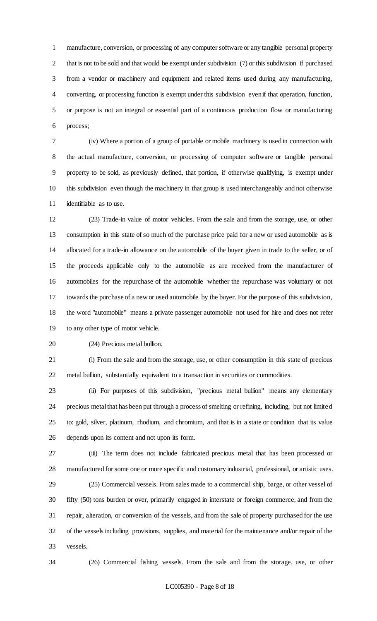manufacture, conversion, or processing of any computer software or any tangible personal property that is not to be sold and that would be exempt under subdivision (7) or this subdivision if purchased from a vendor or machinery and equipment and related items used during any manufacturing, converting, or processing function is exempt under this subdivision even if that operation, function, or purpose is not an integral or essential part of a continuous production flow or manufacturing process;

 (iv) Where a portion of a group of portable or mobile machinery is used in connection with the actual manufacture, conversion, or processing of computer software or tangible personal property to be sold, as previously defined, that portion, if otherwise qualifying, is exempt under this subdivision even though the machinery in that group is used interchangeably and not otherwise identifiable as to use.

 (23) Trade-in value of motor vehicles. From the sale and from the storage, use, or other consumption in this state of so much of the purchase price paid for a new or used automobile as is allocated for a trade-in allowance on the automobile of the buyer given in trade to the seller, or of the proceeds applicable only to the automobile as are received from the manufacturer of automobiles for the repurchase of the automobile whether the repurchase was voluntary or not towards the purchase of a new or used automobile by the buyer. For the purpose of this subdivision, the word "automobile" means a private passenger automobile not used for hire and does not refer to any other type of motor vehicle.

(24) Precious metal bullion.

 (i) From the sale and from the storage, use, or other consumption in this state of precious metal bullion, substantially equivalent to a transaction in securities or commodities.

 (ii) For purposes of this subdivision, "precious metal bullion" means any elementary precious metal that has been put through a process of smelting or refining, including, but not limited to: gold, silver, platinum, rhodium, and chromium, and that is in a state or condition that its value depends upon its content and not upon its form.

 (iii) The term does not include fabricated precious metal that has been processed or manufactured for some one or more specific and customary industrial, professional, or artistic uses.

 (25) Commercial vessels. From sales made to a commercial ship, barge, or other vessel of fifty (50) tons burden or over, primarily engaged in interstate or foreign commerce, and from the repair, alteration, or conversion of the vessels, and from the sale of property purchased for the use of the vessels including provisions, supplies, and material for the maintenance and/or repair of the vessels.

(26) Commercial fishing vessels. From the sale and from the storage, use, or other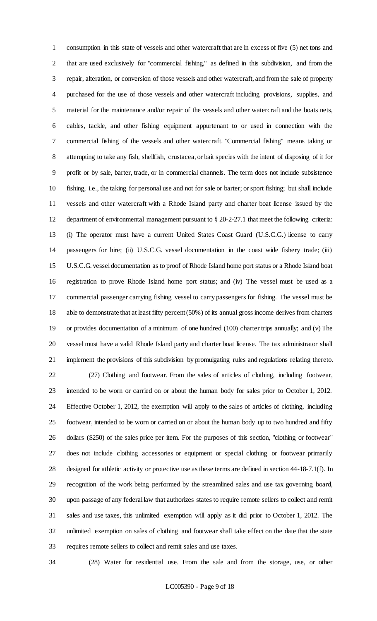consumption in this state of vessels and other watercraft that are in excess of five (5) net tons and that are used exclusively for "commercial fishing," as defined in this subdivision, and from the repair, alteration, or conversion of those vessels and other watercraft, and from the sale of property purchased for the use of those vessels and other watercraft including provisions, supplies, and material for the maintenance and/or repair of the vessels and other watercraft and the boats nets, cables, tackle, and other fishing equipment appurtenant to or used in connection with the commercial fishing of the vessels and other watercraft. "Commercial fishing" means taking or attempting to take any fish, shellfish, crustacea, or bait species with the intent of disposing of it for profit or by sale, barter, trade, or in commercial channels. The term does not include subsistence fishing, i.e., the taking for personal use and not for sale or barter; or sport fishing; but shall include vessels and other watercraft with a Rhode Island party and charter boat license issued by the department of environmental management pursuant to § 20-2-27.1 that meet the following criteria: (i) The operator must have a current United States Coast Guard (U.S.C.G.) license to carry passengers for hire; (ii) U.S.C.G. vessel documentation in the coast wide fishery trade; (iii) U.S.C.G. vessel documentation as to proof of Rhode Island home port status or a Rhode Island boat registration to prove Rhode Island home port status; and (iv) The vessel must be used as a commercial passenger carrying fishing vessel to carry passengers for fishing. The vessel must be able to demonstrate that at least fifty percent (50%) of its annual gross income derives from charters or provides documentation of a minimum of one hundred (100) charter trips annually; and (v) The vessel must have a valid Rhode Island party and charter boat license. The tax administrator shall implement the provisions of this subdivision by promulgating rules and regulations relating thereto. (27) Clothing and footwear. From the sales of articles of clothing, including footwear, intended to be worn or carried on or about the human body for sales prior to October 1, 2012. Effective October 1, 2012, the exemption will apply to the sales of articles of clothing, including footwear, intended to be worn or carried on or about the human body up to two hundred and fifty dollars (\$250) of the sales price per item. For the purposes of this section, "clothing or footwear" does not include clothing accessories or equipment or special clothing or footwear primarily designed for athletic activity or protective use as these terms are defined in section 44-18-7.1(f). In recognition of the work being performed by the streamlined sales and use tax governing board, upon passage of any federal law that authorizes states to require remote sellers to collect and remit sales and use taxes, this unlimited exemption will apply as it did prior to October 1, 2012. The unlimited exemption on sales of clothing and footwear shall take effect on the date that the state requires remote sellers to collect and remit sales and use taxes.

(28) Water for residential use. From the sale and from the storage, use, or other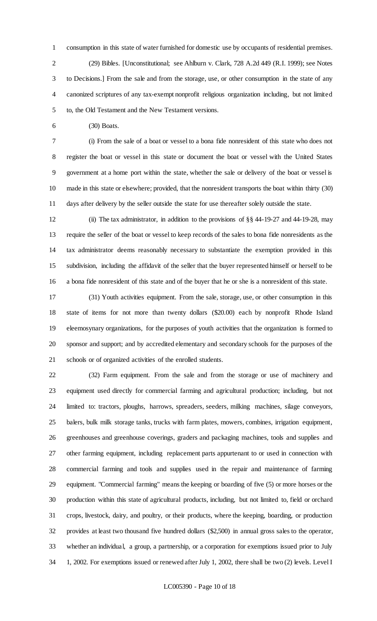consumption in this state of water furnished for domestic use by occupants of residential premises. (29) Bibles. [Unconstitutional; see Ahlburn v. Clark, 728 A.2d 449 (R.I. 1999); see Notes to Decisions.] From the sale and from the storage, use, or other consumption in the state of any canonized scriptures of any tax-exempt nonprofit religious organization including, but not limited to, the Old Testament and the New Testament versions.

(30) Boats.

 (i) From the sale of a boat or vessel to a bona fide nonresident of this state who does not register the boat or vessel in this state or document the boat or vessel with the United States government at a home port within the state, whether the sale or delivery of the boat or vessel is made in this state or elsewhere; provided, that the nonresident transports the boat within thirty (30) days after delivery by the seller outside the state for use thereafter solely outside the state.

 (ii) The tax administrator, in addition to the provisions of §§ 44-19-27 and 44-19-28, may require the seller of the boat or vessel to keep records of the sales to bona fide nonresidents as the tax administrator deems reasonably necessary to substantiate the exemption provided in this subdivision, including the affidavit of the seller that the buyer represented himself or herself to be a bona fide nonresident of this state and of the buyer that he or she is a nonresident of this state.

 (31) Youth activities equipment. From the sale, storage, use, or other consumption in this state of items for not more than twenty dollars (\$20.00) each by nonprofit Rhode Island eleemosynary organizations, for the purposes of youth activities that the organization is formed to sponsor and support; and by accredited elementary and secondary schools for the purposes of the schools or of organized activities of the enrolled students.

 (32) Farm equipment. From the sale and from the storage or use of machinery and equipment used directly for commercial farming and agricultural production; including, but not limited to: tractors, ploughs, harrows, spreaders, seeders, milking machines, silage conveyors, balers, bulk milk storage tanks, trucks with farm plates, mowers, combines, irrigation equipment, greenhouses and greenhouse coverings, graders and packaging machines, tools and supplies and other farming equipment, including replacement parts appurtenant to or used in connection with commercial farming and tools and supplies used in the repair and maintenance of farming equipment. "Commercial farming" means the keeping or boarding of five (5) or more horses or the production within this state of agricultural products, including, but not limited to, field or orchard crops, livestock, dairy, and poultry, or their products, where the keeping, boarding, or production provides at least two thousand five hundred dollars (\$2,500) in annual gross sales to the operator, whether an individual, a group, a partnership, or a corporation for exemptions issued prior to July 1, 2002. For exemptions issued or renewed after July 1, 2002, there shall be two (2) levels. Level I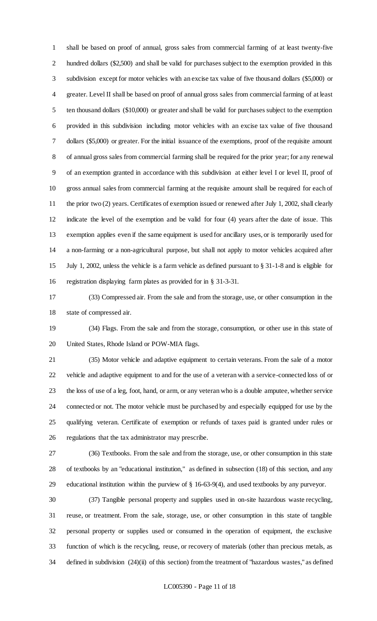shall be based on proof of annual, gross sales from commercial farming of at least twenty-five hundred dollars (\$2,500) and shall be valid for purchases subject to the exemption provided in this subdivision except for motor vehicles with an excise tax value of five thousand dollars (\$5,000) or greater. Level II shall be based on proof of annual gross sales from commercial farming of at least ten thousand dollars (\$10,000) or greater and shall be valid for purchases subject to the exemption provided in this subdivision including motor vehicles with an excise tax value of five thousand dollars (\$5,000) or greater. For the initial issuance of the exemptions, proof of the requisite amount of annual gross sales from commercial farming shall be required for the prior year; for any renewal of an exemption granted in accordance with this subdivision at either level I or level II, proof of gross annual sales from commercial farming at the requisite amount shall be required for each of 11 the prior two (2) years. Certificates of exemption issued or renewed after July 1, 2002, shall clearly indicate the level of the exemption and be valid for four (4) years after the date of issue. This exemption applies even if the same equipment is used for ancillary uses, or is temporarily used for a non-farming or a non-agricultural purpose, but shall not apply to motor vehicles acquired after July 1, 2002, unless the vehicle is a farm vehicle as defined pursuant to § 31-1-8 and is eligible for registration displaying farm plates as provided for in § 31-3-31.

 (33) Compressed air. From the sale and from the storage, use, or other consumption in the state of compressed air.

 (34) Flags. From the sale and from the storage, consumption, or other use in this state of United States, Rhode Island or POW-MIA flags.

 (35) Motor vehicle and adaptive equipment to certain veterans. From the sale of a motor vehicle and adaptive equipment to and for the use of a veteran with a service-connected loss of or the loss of use of a leg, foot, hand, or arm, or any veteran who is a double amputee, whether service connected or not. The motor vehicle must be purchased by and especially equipped for use by the qualifying veteran. Certificate of exemption or refunds of taxes paid is granted under rules or regulations that the tax administrator may prescribe.

 (36) Textbooks. From the sale and from the storage, use, or other consumption in this state of textbooks by an "educational institution," as defined in subsection (18) of this section, and any educational institution within the purview of § 16-63-9(4), and used textbooks by any purveyor.

 (37) Tangible personal property and supplies used in on-site hazardous waste recycling, reuse, or treatment. From the sale, storage, use, or other consumption in this state of tangible personal property or supplies used or consumed in the operation of equipment, the exclusive function of which is the recycling, reuse, or recovery of materials (other than precious metals, as defined in subdivision (24)(ii) of this section) from the treatment of "hazardous wastes," as defined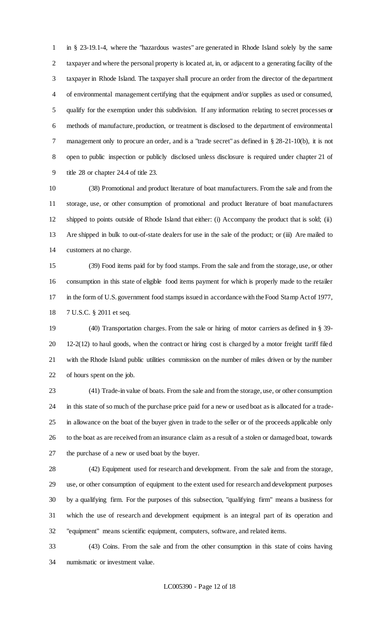in § 23-19.1-4, where the "hazardous wastes" are generated in Rhode Island solely by the same taxpayer and where the personal property is located at, in, or adjacent to a generating facility of the taxpayer in Rhode Island. The taxpayer shall procure an order from the director of the department of environmental management certifying that the equipment and/or supplies as used or consumed, qualify for the exemption under this subdivision. If any information relating to secret processes or methods of manufacture, production, or treatment is disclosed to the department of environmental management only to procure an order, and is a "trade secret" as defined in § 28-21-10(b), it is not open to public inspection or publicly disclosed unless disclosure is required under chapter 21 of title 28 or chapter 24.4 of title 23.

 (38) Promotional and product literature of boat manufacturers. From the sale and from the storage, use, or other consumption of promotional and product literature of boat manufacturers shipped to points outside of Rhode Island that either: (i) Accompany the product that is sold; (ii) Are shipped in bulk to out-of-state dealers for use in the sale of the product; or (iii) Are mailed to customers at no charge.

 (39) Food items paid for by food stamps. From the sale and from the storage, use, or other consumption in this state of eligible food items payment for which is properly made to the retailer in the form of U.S. government food stamps issued in accordance with the Food Stamp Act of 1977, 7 U.S.C. § 2011 et seq.

 (40) Transportation charges. From the sale or hiring of motor carriers as defined in § 39- 12-2(12) to haul goods, when the contract or hiring cost is charged by a motor freight tariff filed with the Rhode Island public utilities commission on the number of miles driven or by the number of hours spent on the job.

 (41) Trade-in value of boats. From the sale and from the storage, use, or other consumption in this state of so much of the purchase price paid for a new or used boat as is allocated for a trade- in allowance on the boat of the buyer given in trade to the seller or of the proceeds applicable only to the boat as are received from an insurance claim as a result of a stolen or damaged boat, towards the purchase of a new or used boat by the buyer.

 (42) Equipment used for research and development. From the sale and from the storage, use, or other consumption of equipment to the extent used for research and development purposes by a qualifying firm. For the purposes of this subsection, "qualifying firm" means a business for which the use of research and development equipment is an integral part of its operation and "equipment" means scientific equipment, computers, software, and related items.

 (43) Coins. From the sale and from the other consumption in this state of coins having numismatic or investment value.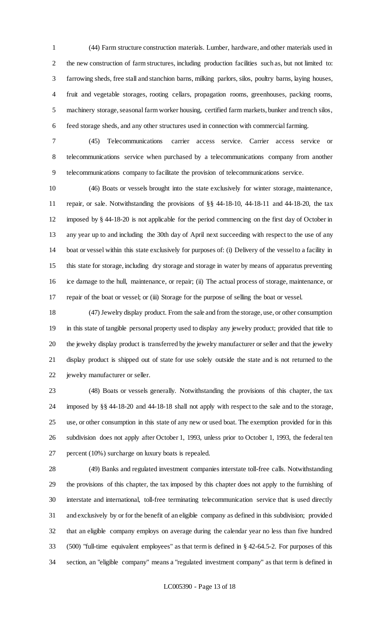(44) Farm structure construction materials. Lumber, hardware, and other materials used in the new construction of farm structures, including production facilities such as, but not limited to: farrowing sheds, free stall and stanchion barns, milking parlors, silos, poultry barns, laying houses, fruit and vegetable storages, rooting cellars, propagation rooms, greenhouses, packing rooms, machinery storage, seasonal farm worker housing, certified farm markets, bunker and trench silos, feed storage sheds, and any other structures used in connection with commercial farming.

 (45) Telecommunications carrier access service. Carrier access service or telecommunications service when purchased by a telecommunications company from another telecommunications company to facilitate the provision of telecommunications service.

 (46) Boats or vessels brought into the state exclusively for winter storage, maintenance, repair, or sale. Notwithstanding the provisions of §§ 44-18-10, 44-18-11 and 44-18-20, the tax imposed by § 44-18-20 is not applicable for the period commencing on the first day of October in any year up to and including the 30th day of April next succeeding with respect to the use of any boat or vessel within this state exclusively for purposes of: (i) Delivery of the vessel to a facility in this state for storage, including dry storage and storage in water by means of apparatus preventing ice damage to the hull, maintenance, or repair; (ii) The actual process of storage, maintenance, or repair of the boat or vessel; or (iii) Storage for the purpose of selling the boat or vessel.

 (47) Jewelry display product. From the sale and from the storage, use, or other consumption in this state of tangible personal property used to display any jewelry product; provided that title to the jewelry display product is transferred by the jewelry manufacturer or seller and that the jewelry display product is shipped out of state for use solely outside the state and is not returned to the jewelry manufacturer or seller.

 (48) Boats or vessels generally. Notwithstanding the provisions of this chapter, the tax imposed by §§ 44-18-20 and 44-18-18 shall not apply with respect to the sale and to the storage, use, or other consumption in this state of any new or used boat. The exemption provided for in this subdivision does not apply after October 1, 1993, unless prior to October 1, 1993, the federal ten percent (10%) surcharge on luxury boats is repealed.

 (49) Banks and regulated investment companies interstate toll-free calls. Notwithstanding the provisions of this chapter, the tax imposed by this chapter does not apply to the furnishing of interstate and international, toll-free terminating telecommunication service that is used directly and exclusively by or for the benefit of an eligible company as defined in this subdivision; provided that an eligible company employs on average during the calendar year no less than five hundred (500) "full-time equivalent employees" as that term is defined in § 42-64.5-2. For purposes of this section, an "eligible company" means a "regulated investment company" as that term is defined in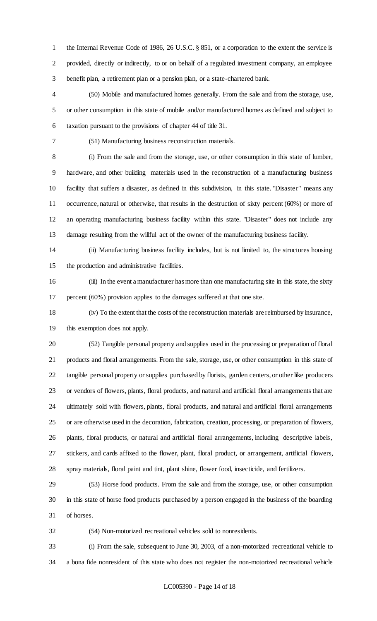the Internal Revenue Code of 1986, 26 U.S.C. § 851, or a corporation to the extent the service is provided, directly or indirectly, to or on behalf of a regulated investment company, an employee benefit plan, a retirement plan or a pension plan, or a state-chartered bank.

 (50) Mobile and manufactured homes generally. From the sale and from the storage, use, or other consumption in this state of mobile and/or manufactured homes as defined and subject to taxation pursuant to the provisions of chapter 44 of title 31.

(51) Manufacturing business reconstruction materials.

 (i) From the sale and from the storage, use, or other consumption in this state of lumber, hardware, and other building materials used in the reconstruction of a manufacturing business facility that suffers a disaster, as defined in this subdivision, in this state. "Disaster" means any occurrence, natural or otherwise, that results in the destruction of sixty percent (60%) or more of an operating manufacturing business facility within this state. "Disaster" does not include any damage resulting from the willful act of the owner of the manufacturing business facility.

 (ii) Manufacturing business facility includes, but is not limited to, the structures housing the production and administrative facilities.

 (iii) In the event a manufacturer has more than one manufacturing site in this state, the sixty percent (60%) provision applies to the damages suffered at that one site.

 (iv) To the extent that the costs of the reconstruction materials are reimbursed by insurance, this exemption does not apply.

 (52) Tangible personal property and supplies used in the processing or preparation of floral products and floral arrangements. From the sale, storage, use, or other consumption in this state of tangible personal property or supplies purchased by florists, garden centers, or other like producers or vendors of flowers, plants, floral products, and natural and artificial floral arrangements that are ultimately sold with flowers, plants, floral products, and natural and artificial floral arrangements or are otherwise used in the decoration, fabrication, creation, processing, or preparation of flowers, plants, floral products, or natural and artificial floral arrangements, including descriptive labels, stickers, and cards affixed to the flower, plant, floral product, or arrangement, artificial flowers, spray materials, floral paint and tint, plant shine, flower food, insecticide, and fertilizers.

 (53) Horse food products. From the sale and from the storage, use, or other consumption in this state of horse food products purchased by a person engaged in the business of the boarding of horses.

(54) Non-motorized recreational vehicles sold to nonresidents.

 (i) From the sale, subsequent to June 30, 2003, of a non-motorized recreational vehicle to a bona fide nonresident of this state who does not register the non-motorized recreational vehicle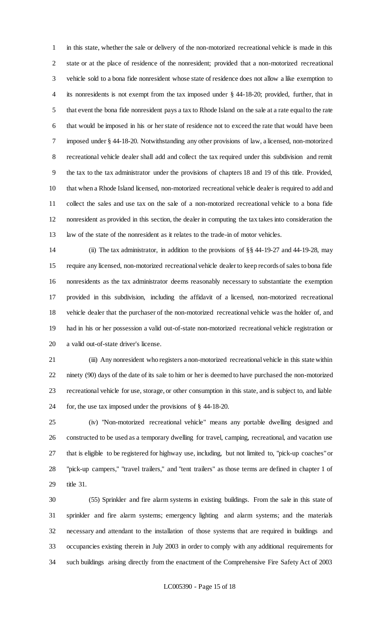in this state, whether the sale or delivery of the non-motorized recreational vehicle is made in this state or at the place of residence of the nonresident; provided that a non-motorized recreational vehicle sold to a bona fide nonresident whose state of residence does not allow a like exemption to its nonresidents is not exempt from the tax imposed under § 44-18-20; provided, further, that in that event the bona fide nonresident pays a tax to Rhode Island on the sale at a rate equal to the rate that would be imposed in his or her state of residence not to exceed the rate that would have been imposed under § 44-18-20. Notwithstanding any other provisions of law, a licensed, non-motorized recreational vehicle dealer shall add and collect the tax required under this subdivision and remit the tax to the tax administrator under the provisions of chapters 18 and 19 of this title. Provided, that when a Rhode Island licensed, non-motorized recreational vehicle dealer is required to add and collect the sales and use tax on the sale of a non-motorized recreational vehicle to a bona fide nonresident as provided in this section, the dealer in computing the tax takes into consideration the law of the state of the nonresident as it relates to the trade-in of motor vehicles.

 (ii) The tax administrator, in addition to the provisions of §§ 44-19-27 and 44-19-28, may require any licensed, non-motorized recreational vehicle dealer to keep records of sales to bona fide nonresidents as the tax administrator deems reasonably necessary to substantiate the exemption provided in this subdivision, including the affidavit of a licensed, non-motorized recreational vehicle dealer that the purchaser of the non-motorized recreational vehicle was the holder of, and had in his or her possession a valid out-of-state non-motorized recreational vehicle registration or a valid out-of-state driver's license.

 (iii) Any nonresident who registers a non-motorized recreational vehicle in this state within ninety (90) days of the date of its sale to him or her is deemed to have purchased the non-motorized recreational vehicle for use, storage, or other consumption in this state, and is subject to, and liable for, the use tax imposed under the provisions of § 44-18-20.

 (iv) "Non-motorized recreational vehicle" means any portable dwelling designed and constructed to be used as a temporary dwelling for travel, camping, recreational, and vacation use that is eligible to be registered for highway use, including, but not limited to, "pick-up coaches" or "pick-up campers," "travel trailers," and "tent trailers" as those terms are defined in chapter 1 of title 31.

 (55) Sprinkler and fire alarm systems in existing buildings. From the sale in this state of sprinkler and fire alarm systems; emergency lighting and alarm systems; and the materials necessary and attendant to the installation of those systems that are required in buildings and occupancies existing therein in July 2003 in order to comply with any additional requirements for such buildings arising directly from the enactment of the Comprehensive Fire Safety Act of 2003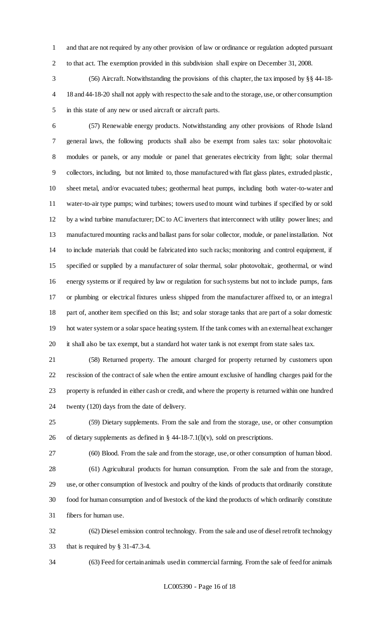and that are not required by any other provision of law or ordinance or regulation adopted pursuant to that act. The exemption provided in this subdivision shall expire on December 31, 2008.

 (56) Aircraft. Notwithstanding the provisions of this chapter, the tax imposed by §§ 44-18- 18 and 44-18-20 shall not apply with respect to the sale and to the storage, use, or other consumption in this state of any new or used aircraft or aircraft parts.

 (57) Renewable energy products. Notwithstanding any other provisions of Rhode Island general laws, the following products shall also be exempt from sales tax: solar photovoltaic modules or panels, or any module or panel that generates electricity from light; solar thermal collectors, including, but not limited to, those manufactured with flat glass plates, extruded plastic, sheet metal, and/or evacuated tubes; geothermal heat pumps, including both water-to-water and water-to-air type pumps; wind turbines; towers used to mount wind turbines if specified by or sold by a wind turbine manufacturer; DC to AC inverters that interconnect with utility power lines; and manufactured mounting racks and ballast pans for solar collector, module, or panel installation. Not to include materials that could be fabricated into such racks; monitoring and control equipment, if specified or supplied by a manufacturer of solar thermal, solar photovoltaic, geothermal, or wind energy systems or if required by law or regulation for such systems but not to include pumps, fans or plumbing or electrical fixtures unless shipped from the manufacturer affixed to, or an integral part of, another item specified on this list; and solar storage tanks that are part of a solar domestic hot water system or a solar space heating system. If the tank comes with an external heat exchanger it shall also be tax exempt, but a standard hot water tank is not exempt from state sales tax.

 (58) Returned property. The amount charged for property returned by customers upon rescission of the contract of sale when the entire amount exclusive of handling charges paid for the property is refunded in either cash or credit, and where the property is returned within one hundred twenty (120) days from the date of delivery.

 (59) Dietary supplements. From the sale and from the storage, use, or other consumption 26 of dietary supplements as defined in  $\S$  44-18-7.1(l)(v), sold on prescriptions.

(60) Blood. From the sale and from the storage, use, or other consumption of human blood.

 (61) Agricultural products for human consumption. From the sale and from the storage, use, or other consumption of livestock and poultry of the kinds of products that ordinarily constitute food for human consumption and of livestock of the kind the products of which ordinarily constitute fibers for human use.

 (62) Diesel emission control technology. From the sale and use of diesel retrofit technology that is required by § 31-47.3-4.

(63) Feed for certain animals used in commercial farming. From the sale of feed for animals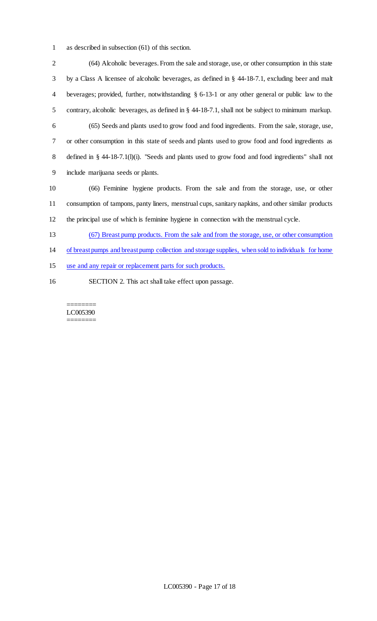as described in subsection (61) of this section.

 (64) Alcoholic beverages. From the sale and storage, use, or other consumption in this state by a Class A licensee of alcoholic beverages, as defined in § 44-18-7.1, excluding beer and malt beverages; provided, further, notwithstanding § 6-13-1 or any other general or public law to the contrary, alcoholic beverages, as defined in § 44-18-7.1, shall not be subject to minimum markup. (65) Seeds and plants used to grow food and food ingredients. From the sale, storage, use, or other consumption in this state of seeds and plants used to grow food and food ingredients as defined in § 44-18-7.1(l)(i). "Seeds and plants used to grow food and food ingredients" shall not include marijuana seeds or plants. (66) Feminine hygiene products. From the sale and from the storage, use, or other consumption of tampons, panty liners, menstrual cups, sanitary napkins, and other similar products the principal use of which is feminine hygiene in connection with the menstrual cycle. (67) Breast pump products. From the sale and from the storage, use, or other consumption of breast pumps and breast pump collection and storage supplies, when sold to individuals for home use and any repair or replacement parts for such products.

SECTION 2. This act shall take effect upon passage.

======== LC005390 ========